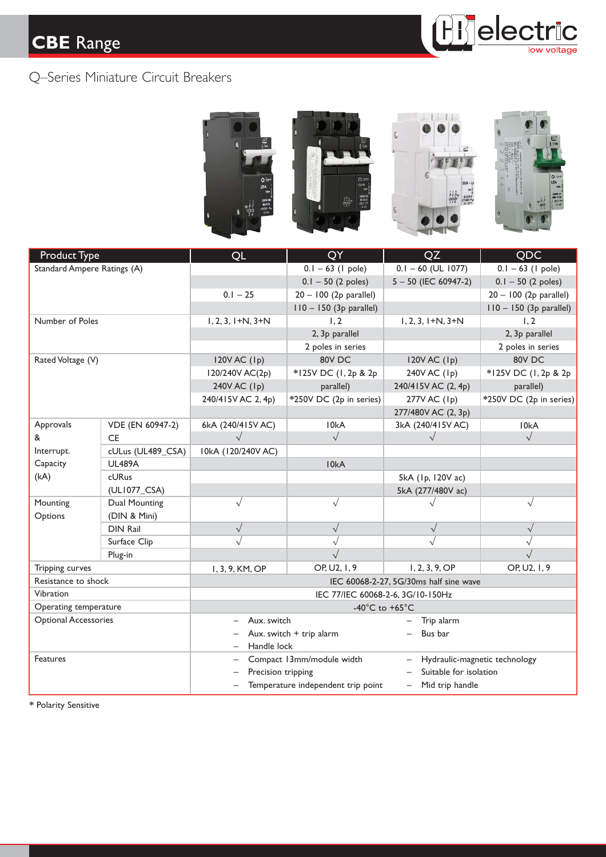# **CBE** Range







| Product Type                |                   | QL                                                         | QY                        | QZ                                          | QDC                       |  |
|-----------------------------|-------------------|------------------------------------------------------------|---------------------------|---------------------------------------------|---------------------------|--|
| Standard Ampere Ratings (A) |                   |                                                            | $0.1 - 63$ (1 pole)       | $0.1 - 60$ (UL 1077)                        | $0.1 - 63$ (1 pole)       |  |
|                             |                   |                                                            | $0.1 - 50$ (2 poles)      | $5 - 50$ (IEC 60947-2)                      | $0.1 - 50$ (2 poles)      |  |
|                             |                   | $0.1 - 25$                                                 | $20 - 100$ (2p parallel)  |                                             | $20 - 100$ (2p parallel)  |  |
|                             |                   |                                                            | $110 - 150$ (3p parallel) |                                             | $110 - 150$ (3p parallel) |  |
| Number of Poles             |                   | $1, 2, 3, 1+N, 3+N$                                        | 1, 2                      | $1, 2, 3, 1+N, 3+N$                         | 1, 2                      |  |
|                             |                   |                                                            | 2, 3p parallel            |                                             | 2, 3p parallel            |  |
|                             |                   |                                                            | 2 poles in series         |                                             | 2 poles in series         |  |
| Rated Voltage (V)           |                   | $120V$ AC $(Ip)$                                           | 80V DC                    | $120V$ AC $(Ip)$                            | 80V DC                    |  |
|                             |                   | 120/240V AC(2p)                                            | *125V DC (1, 2p & 2p      | 240V AC (1p)                                | *125V DC (1, 2p & 2p      |  |
|                             |                   | 240V AC (1p)                                               | parallel)                 | 240/415V AC (2, 4p)                         | parallel)                 |  |
|                             |                   | 240/415V AC 2, 4p)                                         | *250V DC (2p in series)   | 277V AC (1 <sub>p</sub> )                   | *250V DC (2p in series)   |  |
|                             |                   |                                                            |                           | 277/480V AC (2, 3p)                         |                           |  |
| Approvals                   | VDE (EN 60947-2)  | 6kA (240/415V AC)                                          | I <sub>0k</sub> A         | 3kA (240/415V AC)                           | 10kA                      |  |
| &<br>Interrupt.<br>Capacity | <b>CE</b>         | $\sqrt{}$                                                  | $\sqrt{}$                 | $\sqrt{ }$                                  | $\sqrt{}$                 |  |
|                             | cULus (UL489_CSA) | I0kA (120/240V AC)                                         |                           |                                             |                           |  |
|                             | <b>UL489A</b>     |                                                            | 10kA                      |                                             |                           |  |
| (kA)                        | cURus             |                                                            |                           | 5kA (1p, 120V ac)                           |                           |  |
|                             | (UL1077_CSA)      |                                                            |                           | 5kA (277/480V ac)                           |                           |  |
| Mounting                    | Dual Mounting     | $\sqrt{}$                                                  | $\sqrt{}$                 | $\sqrt{}$                                   | $\sqrt{}$                 |  |
| Options                     | (DIN & Mini)      |                                                            |                           |                                             |                           |  |
|                             | <b>DIN Rail</b>   | $\sqrt{}$                                                  | $\sqrt{}$                 | $\sqrt{}$                                   | $\sqrt{}$                 |  |
|                             | Surface Clip      |                                                            |                           |                                             |                           |  |
|                             | Plug-in           |                                                            | $\sqrt{}$                 |                                             | $\sqrt{}$                 |  |
| Tripping curves             |                   | 1, 3, 9, KM, OP                                            | OP, U2, 1, 9              | 1, 2, 3, 9, OP                              | OP, U2, 1, 9              |  |
| Resistance to shock         |                   | IEC 60068-2-27, 5G/30ms half sine wave                     |                           |                                             |                           |  |
| Vibration                   |                   | IEC 77/IEC 60068-2-6, 3G/10-150Hz                          |                           |                                             |                           |  |
| Operating temperature       |                   | -40 $^{\circ}$ C to +65 $^{\circ}$ C                       |                           |                                             |                           |  |
| <b>Optional Accessories</b> |                   | Aux. switch                                                |                           | Trip alarm                                  |                           |  |
|                             |                   | Aux. switch + trip alarm                                   |                           | Bus bar                                     |                           |  |
|                             |                   | Handle lock                                                |                           |                                             |                           |  |
| <b>Features</b>             |                   | Compact 13mm/module width<br>Hydraulic-magnetic technology |                           |                                             |                           |  |
|                             |                   | Precision tripping                                         |                           | Suitable for isolation                      |                           |  |
|                             |                   | Temperature independent trip point<br>-                    |                           | Mid trip handle<br>$\overline{\phantom{0}}$ |                           |  |
|                             |                   |                                                            |                           |                                             |                           |  |

**\*** Polarity Sensitive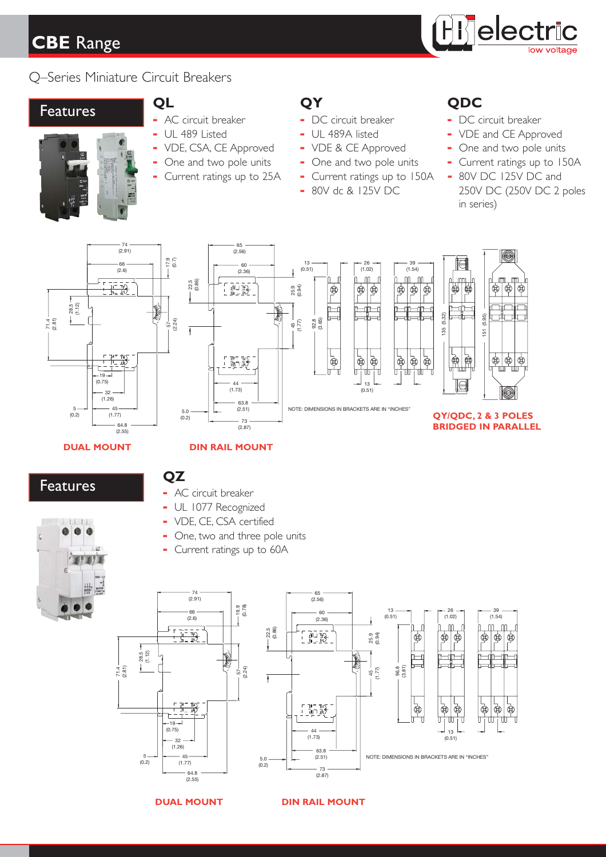# **CBE** Range Range



## Q–Series Miniature Circuit Breakers

# **Produces QL QY QDC**<br>**QDC QP QDC QDC**



- 
- 
- 
- 
- 
- 

- 
- 
- 
- 
- **-** Current ratings up to 25A **-** Current ratings up to 150A **-** 80V DC 125V DC and
	-

- **-** AC circuit breaker **-** DC circuit breaker **-** DC circuit breaker
- **-** UL 489 Listed **-** UL 489A listed **-** VDE and CE Approved
- **-** VDE, CSA, CE Approved **-** VDE & CE Approved **-** One and two pole units
- **-** One and two pole units **-** One and two pole units **-** Current ratings up to 150A
	- **-** 80V dc & 125V DC 250V DC (250V DC 2 poles in series)





### **DUAL MOUNT DIN RAIL MOUNT**

Features

## **QZ**

- **-** AC circuit breaker
- **-** UL 1077 Recognized
- **-** VDE, CE, CSA certified
- **-** One, two and three pole units
- **-** Current ratings up to 60A







### **DUAL MOUNT DIN RAIL MOUNT**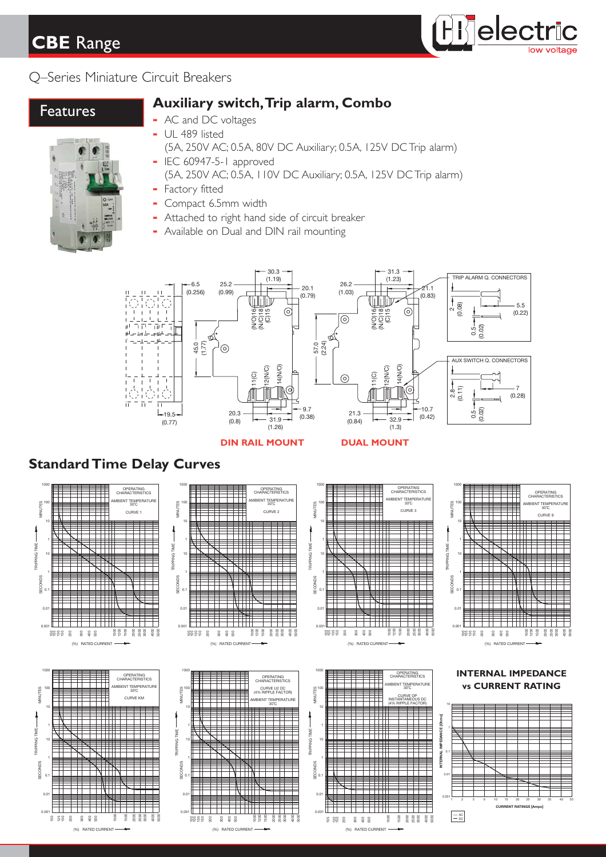# **CBE** Range



## Q–Series Miniature Circuit Breakers

# Features **Auxiliary switch,Trip alarm, Combo**



- **-** AC and DC voltages
- **-** UL 489 listed
	- (5A, 250V AC; 0.5A, 80V DC Auxiliary; 0.5A, 125V DC Trip alarm)
- **-** IEC 60947-5-1 approved (5A, 250V AC; 0.5A, 110V DC Auxiliary; 0.5A, 125V DC Trip alarm)
- **-** Factory fitted
- **-** Compact 6.5mm width
- **-** Attached to right hand side of circuit breaker
- **-** Available on Dual and DIN rail mounting



## **Standard Time Delay Curves**